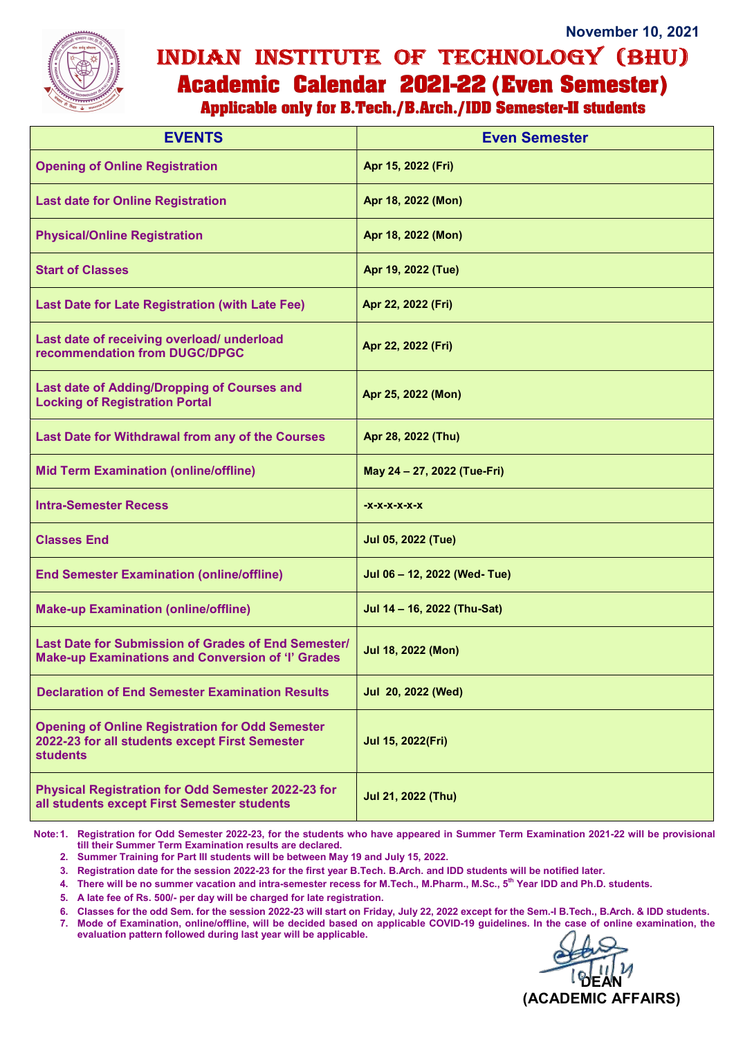

## November 10, 2021 INDIAN INSTITUTE OF TECHNOLOGY (BHU) **Academic Calendar 2021-22 (Even Semester)**

**Applicable only for B.Tech./B.Arch./IDD Semester-II students** 

| <b>EVENTS</b>                                                                                                               | <b>Even Semester</b>         |
|-----------------------------------------------------------------------------------------------------------------------------|------------------------------|
| <b>Opening of Online Registration</b>                                                                                       | Apr 15, 2022 (Fri)           |
| <b>Last date for Online Registration</b>                                                                                    | Apr 18, 2022 (Mon)           |
| <b>Physical/Online Registration</b>                                                                                         | Apr 18, 2022 (Mon)           |
| <b>Start of Classes</b>                                                                                                     | Apr 19, 2022 (Tue)           |
| <b>Last Date for Late Registration (with Late Fee)</b>                                                                      | Apr 22, 2022 (Fri)           |
| Last date of receiving overload/ underload<br>recommendation from DUGC/DPGC                                                 | Apr 22, 2022 (Fri)           |
| Last date of Adding/Dropping of Courses and<br><b>Locking of Registration Portal</b>                                        | Apr 25, 2022 (Mon)           |
| Last Date for Withdrawal from any of the Courses                                                                            | Apr 28, 2022 (Thu)           |
| <b>Mid Term Examination (online/offline)</b>                                                                                | May 24 - 27, 2022 (Tue-Fri)  |
| <b>Intra-Semester Recess</b>                                                                                                | -X-X-X-X-X-X                 |
| <b>Classes End</b>                                                                                                          | <b>Jul 05, 2022 (Tue)</b>    |
| <b>End Semester Examination (online/offline)</b>                                                                            | Jul 06 - 12, 2022 (Wed- Tue) |
| <b>Make-up Examination (online/offline)</b>                                                                                 | Jul 14 - 16, 2022 (Thu-Sat)  |
| Last Date for Submission of Grades of End Semester/<br><b>Make-up Examinations and Conversion of 'I' Grades</b>             | Jul 18, 2022 (Mon)           |
| <b>Declaration of End Semester Examination Results</b>                                                                      | Jul 20, 2022 (Wed)           |
| <b>Opening of Online Registration for Odd Semester</b><br>2022-23 for all students except First Semester<br><b>students</b> | Jul 15, 2022(Fri)            |
| Physical Registration for Odd Semester 2022-23 for<br>all students except First Semester students                           | Jul 21, 2022 (Thu)           |

Note: 1. Registration for Odd Semester 2022-23, for the students who have appeared in Summer Term Examination 2021-22 will be provisional till their Summer Term Examination results are declared.

2. Summer Training for Part III students will be between May 19 and July 15, 2022.

3. Registration date for the session 2022-23 for the first year B.Tech. B.Arch. and IDD students will be notified later.

4. There will be no summer vacation and intra-semester recess for M.Tech., M.Pharm., M.Sc., 5<sup>th</sup> Year IDD and Ph.D. students.

5. A late fee of Rs. 500/- per day will be charged for late registration.

6. Classes for the odd Sem. for the session 2022-23 will start on Friday, July 22, 2022 except for the Sem.-I B.Tech., B.Arch. & IDD students.

7. Mode of Examination, online/offline, will be decided based on applicable COVID-19 guidelines. In the case of online examination, the evaluation pattern followed during last year will be applicable.